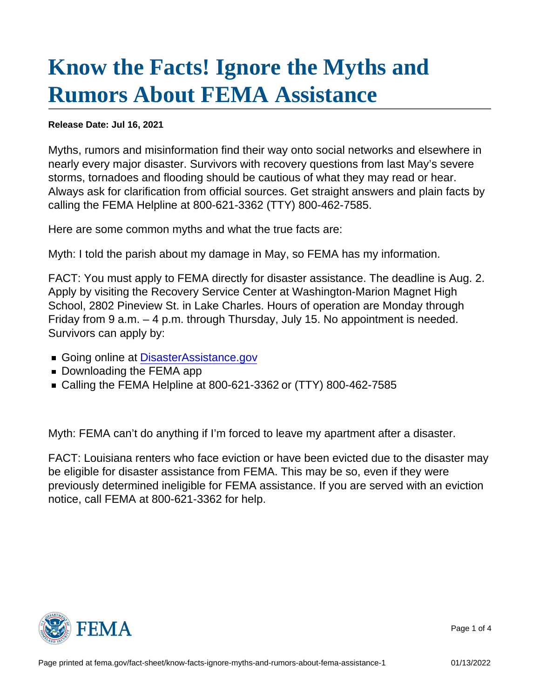## [Know the Facts! Ignore the Myths and](https://www.fema.gov/fact-sheet/know-facts-ignore-myths-and-rumors-about-fema-assistance-1) [Rumors About FEMA Assistance](https://www.fema.gov/fact-sheet/know-facts-ignore-myths-and-rumors-about-fema-assistance-1)

Release Date: Jul 16, 2021

Myths, rumors and misinformation find their way onto social networks and elsewhere in nearly every major disaster. Survivors with recovery questions from last May's severe storms, tornadoes and flooding should be cautious of what they may read or hear. Always ask for clarification from official sources. Get straight answers and plain facts by calling the FEMA Helpline at 800-621-3362 (TTY) 800-462-7585.

Here are some common myths and what the true facts are:

Myth: I told the parish about my damage in May, so FEMA has my information.

FACT: You must apply to FEMA directly for disaster assistance. The deadline is Aug. 2. Apply by visiting the Recovery Service Center at Washington-Marion Magnet High School, 2802 Pineview St. in Lake Charles. Hours of operation are Monday through Friday from 9 a.m. – 4 p.m. through Thursday, July 15. No appointment is needed. Survivors can apply by:

- Going online at DisasterAssistance.gov
- Downloading the FEMA app
- Calling the FEMA Helpline at 800-621-3362 or (TTY) 800-462-7585

Myth: FEMA can't do anything if I'm forced to leave my apartment after a disaster.

FACT: Louisiana renters who face eviction or have been evicted due to the disaster may be eligible for disaster assistance from FEMA. This may be so, even if they were previously determined ineligible for FEMA assistance. If you are served with an eviction notice, call FEMA at 800-621-3362 for help.



Page 1 of 4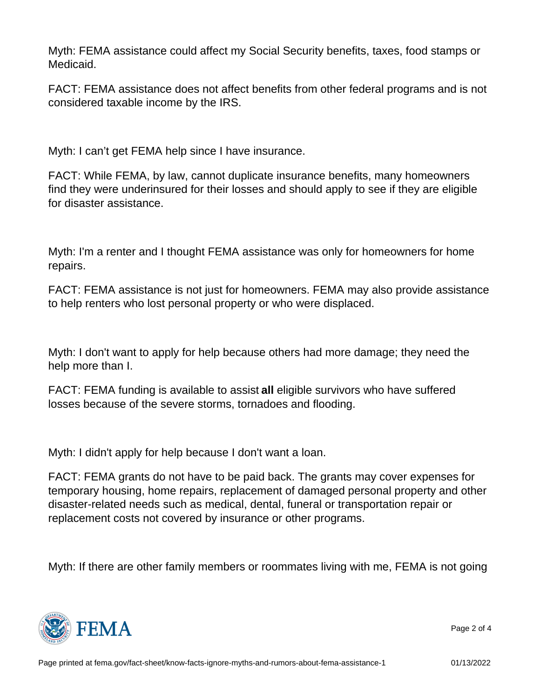Myth: FEMA assistance could affect my Social Security benefits, taxes, food stamps or Medicaid.

FACT: FEMA assistance does not affect benefits from other federal programs and is not considered taxable income by the IRS.

Myth: I can't get FEMA help since I have insurance.

FACT: While FEMA, by law, cannot duplicate insurance benefits, many homeowners find they were underinsured for their losses and should apply to see if they are eligible for disaster assistance.

Myth: I'm a renter and I thought FEMA assistance was only for homeowners for home repairs.

FACT: FEMA assistance is not just for homeowners. FEMA may also provide assistance to help renters who lost personal property or who were displaced.

Myth: I don't want to apply for help because others had more damage; they need the help more than I.

FACT: FEMA funding is available to assist all eligible survivors who have suffered losses because of the severe storms, tornadoes and flooding.

Myth: I didn't apply for help because I don't want a loan.

FACT: FEMA grants do not have to be paid back. The grants may cover expenses for temporary housing, home repairs, replacement of damaged personal property and other disaster-related needs such as medical, dental, funeral or transportation repair or replacement costs not covered by insurance or other programs.

Myth: If there are other family members or roommates living with me, FEMA is not going



Page 2 of 4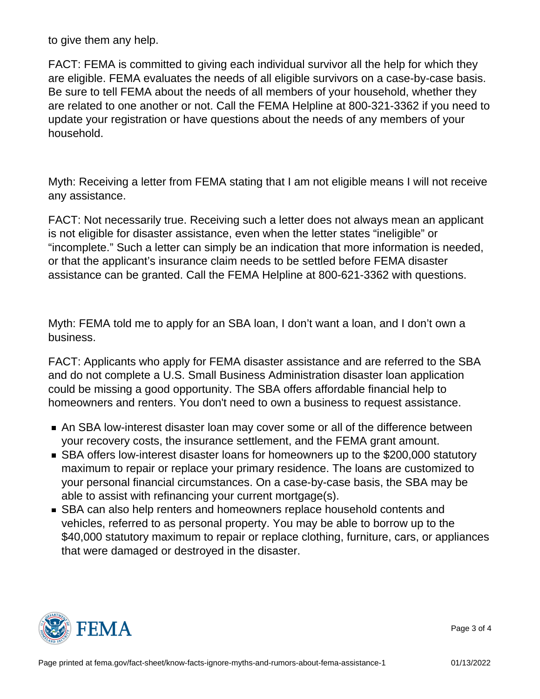to give them any help.

FACT: FEMA is committed to giving each individual survivor all the help for which they are eligible. FEMA evaluates the needs of all eligible survivors on a case-by-case basis. Be sure to tell FEMA about the needs of all members of your household, whether they are related to one another or not. Call the FEMA Helpline at 800-321-3362 if you need to update your registration or have questions about the needs of any members of your household.

Myth: Receiving a letter from FEMA stating that I am not eligible means I will not receive any assistance.

FACT: Not necessarily true. Receiving such a letter does not always mean an applicant is not eligible for disaster assistance, even when the letter states "ineligible" or "incomplete." Such a letter can simply be an indication that more information is needed, or that the applicant's insurance claim needs to be settled before FEMA disaster assistance can be granted. Call the FEMA Helpline at 800-621-3362 with questions.

Myth: FEMA told me to apply for an SBA loan, I don't want a loan, and I don't own a business.

FACT: Applicants who apply for FEMA disaster assistance and are referred to the SBA and do not complete a U.S. Small Business Administration disaster loan application could be missing a good opportunity. The SBA offers affordable financial help to homeowners and renters. You don't need to own a business to request assistance.

- An SBA low-interest disaster loan may cover some or all of the difference between your recovery costs, the insurance settlement, and the FEMA grant amount.
- SBA offers low-interest disaster loans for homeowners up to the \$200,000 statutory maximum to repair or replace your primary residence. The loans are customized to your personal financial circumstances. On a case-by-case basis, the SBA may be able to assist with refinancing your current mortgage(s).
- SBA can also help renters and homeowners replace household contents and vehicles, referred to as personal property. You may be able to borrow up to the \$40,000 statutory maximum to repair or replace clothing, furniture, cars, or appliances that were damaged or destroyed in the disaster.



Page 3 of 4